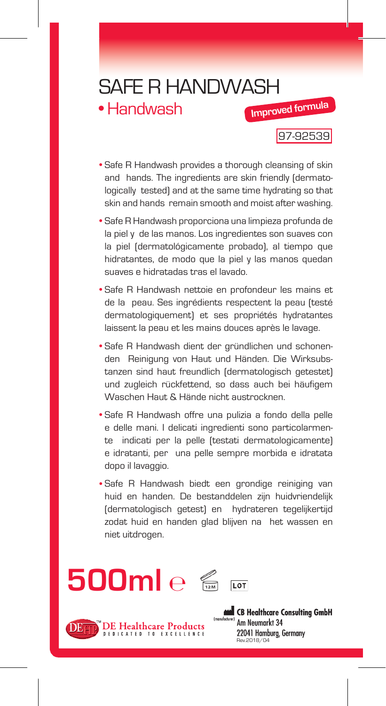## SAFE R HANDWASH **Improved formula**

• Handwash

97-92539

- Safe R Handwash provides a thorough cleansing of skin and hands. The ingredients are skin friendly (dermatologically tested) and at the same time hydrating so that skin and hands remain smooth and moist after washing.
- Safe R Handwash proporciona una limpieza profunda de la piel y de las manos. Los ingredientes son suaves con la piel (dermatológicamente probado), al tiempo que hidratantes, de modo que la piel y las manos quedan suaves e hidratadas tras el lavado.
- Safe R Handwash nettoie en profondeur les mains et de la peau. Ses ingrédients respectent la peau (testé dermatologiquement) et ses propriétés hydratantes laissent la peau et les mains douces après le lavage.
- Safe R Handwash dient der gründlichen und schonenden Reinigung von Haut und Händen. Die Wirksubstanzen sind haut freundlich (dermatologisch getestet) und zugleich rückfettend, so dass auch bei häufigem Waschen Haut & Hände nicht austrocknen.
- Safe R Handwash offre una pulizia a fondo della pelle e delle mani. I delicati ingredienti sono particolarmente indicati per la pelle (testati dermatologicamente) e idratanti, per una pelle sempre morbida e idratata dopo il lavaggio.
- Safe R Handwash biedt een grondige reiniging van huid en handen. De bestanddelen zijn huidvriendelijk (dermatologisch getest) en hydrateren tegelijkertijd zodat huid en handen glad blijven na het wassen en niet uitdrogen.

## **500ml** ℮



CB Healthcare Consulting GmbH Am Neumarkt 34 22041 Hamburg, Germany Rev.2018/04